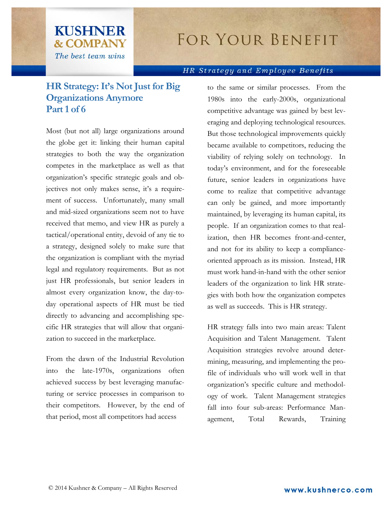## FOR YOUR BENEFIT

## HR Strategy and Employee Benefits

## **HR Strategy: It's Not Just for Big Organizations Anymore Part 1 of 6**

**KUSHNER** 

**& COMPANY** The best team wins

Most (but not all) large organizations around the globe get it: linking their human capital strategies to both the way the organization competes in the marketplace as well as that organization's specific strategic goals and objectives not only makes sense, it's a requirement of success. Unfortunately, many small and mid-sized organizations seem not to have received that memo, and view HR as purely a tactical/operational entity, devoid of any tie to a strategy, designed solely to make sure that the organization is compliant with the myriad legal and regulatory requirements. But as not just HR professionals, but senior leaders in almost every organization know, the day-today operational aspects of HR must be tied directly to advancing and accomplishing specific HR strategies that will allow that organization to succeed in the marketplace.

From the dawn of the Industrial Revolution into the late-1970s, organizations often achieved success by best leveraging manufacturing or service processes in comparison to their competitors. However, by the end of that period, most all competitors had access

to the same or similar processes. From the 1980s into the early-2000s, organizational competitive advantage was gained by best leveraging and deploying technological resources. But those technological improvements quickly became available to competitors, reducing the viability of relying solely on technology. In today's environment, and for the foreseeable future, senior leaders in organizations have come to realize that competitive advantage can only be gained, and more importantly maintained, by leveraging its human capital, its people. If an organization comes to that realization, then HR becomes front-and-center, and not for its ability to keep a complianceoriented approach as its mission. Instead, HR must work hand-in-hand with the other senior leaders of the organization to link HR strategies with both how the organization competes as well as succeeds. This is HR strategy.

HR strategy falls into two main areas: Talent Acquisition and Talent Management. Talent Acquisition strategies revolve around determining, measuring, and implementing the profile of individuals who will work well in that organization's specific culture and methodology of work. Talent Management strategies fall into four sub-areas: Performance Management, Total Rewards, Training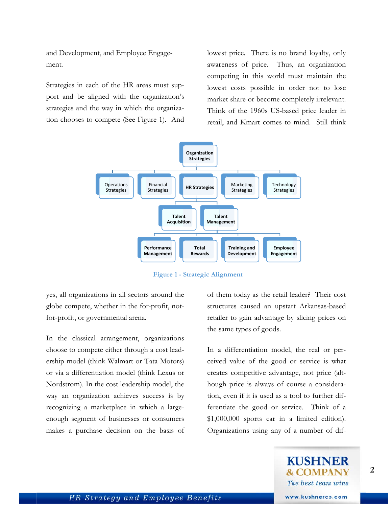and Development, and Employee Engagement.

Strategies in each of the HR areas must support and be aligned with the organization's strategies and the way in which the organization chooses to compete (See Figure 1). And lowest price. There is no brand loyalty, only awareness of price. Thus, an organization competing in this world must maintain the lowest costs possible in order not to lose market share or become completely irrelevant. Think of the 1960s US-based price leader in retail, and Kmart comes to mind. Still think



**Figure 1 - Strategic Alignment** 

yes, all organizations in all sectors around the globe compete, whether in the for-profit, notfor-profit, or governmental arena.

In the classical arrangement, organizations choose to compete either through a cost leadership model (think Walmart or Tata Motors) or via a differentiation model (think Lexus or Nordstrom). In the cost leadership model, the way an organization achieves success is by recognizing a marketplace in which a largeenough segment of businesses or consumers makes a purchase decision on the basis of of them today as the retail leader? Their cost structures caused an upstart Arkansas-based retailer to gain advantage by slicing prices on the same types of goods.

In a differentiation model, the real or perceived value of the good or service is what creates competitive advantage, not price (although price is always of course a consideration, even if it is used as a tool to further differentiate the good or service. Think of a  $$1,000,000$  sports car in a limited edition). Organizations using any of a number of dif-



2